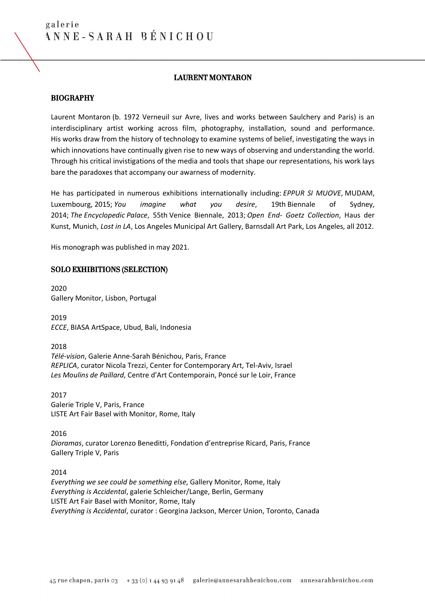#### LAURENT MONTARON

#### BIOGRAPHY

Laurent Montaron (b. 1972 Verneuil sur Avre, lives and works between Saulchery and Paris) is an interdisciplinary artist working across film, photography, installation, sound and performance. His works draw from the history of technology to examine systems of belief, investigating the ways in which innovations have continually given rise to new ways of observing and understanding the world. Through his critical invistigations of the media and tools that shape our representations, his work lays bare the paradoxes that accompany our awarness of modernity.

He has participated in numerous exhibitions internationally including: *EPPUR SI MUOVE*, MUDAM, Luxembourg, 2015; *You imagine what you desire*, 19th Biennale of Sydney, 2014; *The Encyclopedic Palace*, 55th Venice Biennale, 2013; *Open End- Goetz Collection*, Haus der Kunst, Munich, *Lost in LA*, Los Angeles Municipal Art Gallery, Barnsdall Art Park, Los Angeles, all 2012.

His monograph was published in may 2021.

#### SOLO EXHIBITIONS (SELECTION)

2020 Gallery Monitor, Lisbon, Portugal

2019 *ECCE*, BIASA ArtSpace, Ubud, Bali, Indonesia

2018 *Télé-vision*, Galerie Anne-Sarah Bénichou, Paris, France *REPLICA*, curator Nicola Trezzi, Center for Contemporary Art, Tel-Aviv, Israel *Les Moulins de Paillard*, Centre d'Art Contemporain, Poncé sur le Loir, France

2017 Galerie Triple V, Paris, France LISTE Art Fair Basel with Monitor, Rome, Italy

2016 *Dioramas*, curator Lorenzo Beneditti, Fondation d'entreprise Ricard, Paris, France Gallery Triple V, Paris

2014

*Everything we see could be something else*, Gallery Monitor, Rome, Italy *Everything is Accidental*, galerie Schleicher/Lange, Berlin, Germany LISTE Art Fair Basel with Monitor, Rome, Italy *Everything is Accidental*, curator : Georgina Jackson, Mercer Union, Toronto, Canada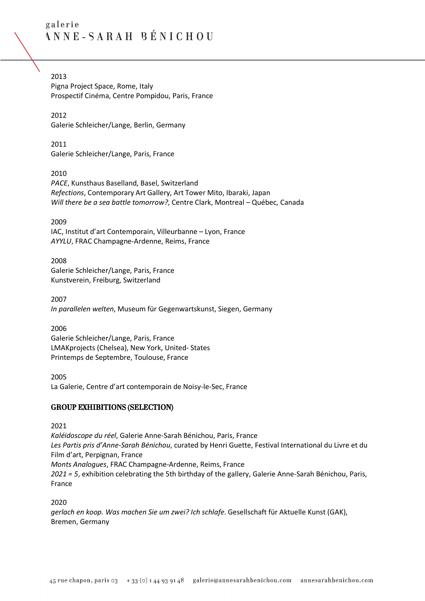2013

Pigna Project Space, Rome, Italy Prospectif Cinéma, Centre Pompidou, Paris, France

2012 Galerie Schleicher/Lange, Berlin, Germany

2011 Galerie Schleicher/Lange, Paris, France

2010

*PACE*, Kunsthaus Baselland, Basel, Switzerland *Refections*, Contemporary Art Gallery, Art Tower Mito, Ibaraki, Japan *Will there be a sea battle tomorrow?*, Centre Clark, Montreal – Québec, Canada

2009

IAC, Institut d'art Contemporain, Villeurbanne – Lyon, France *AYYLU*, FRAC Champagne-Ardenne, Reims, France

2008 Galerie Schleicher/Lange, Paris, France Kunstverein, Freiburg, Switzerland

2007 *In parallelen welten*, Museum für Gegenwartskunst, Siegen, Germany

2006

Galerie Schleicher/Lange, Paris, France LMAKprojects (Chelsea), New York, United- States Printemps de Septembre, Toulouse, France

2005

La Galerie, Centre d'art contemporain de Noisy-le-Sec, France

## GROUP EXHIBITIONS (SELECTION)

2021

*Kaléidoscope du réel*, Galerie Anne-Sarah Bénichou, Paris, France *Les Partis pris d'Anne-Sarah Bénichou*, curated by Henri Guette, Festival International du Livre et du Film d'art, Perpignan, France *Monts Analogues*, FRAC Champagne-Ardenne, Reims, France *2021 = 5*, exhibition celebrating the 5th birthday of the gallery, Galerie Anne-Sarah Bénichou, Paris, France

2020

*gerlach en koop. Was machen Sie um zwei? Ich schlafe*. Gesellschaft für Aktuelle Kunst (GAK), Bremen, Germany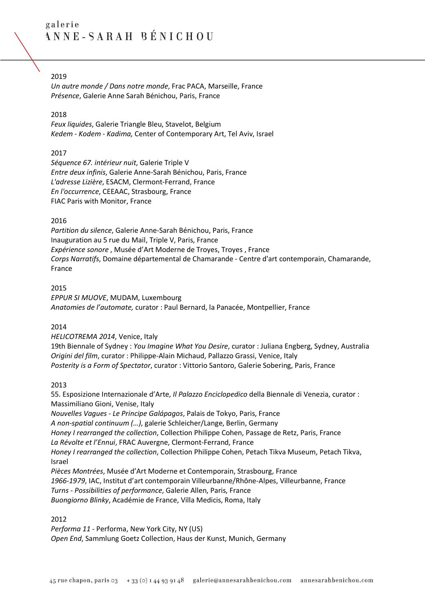### 2019

*Un autre monde / Dans notre monde*, Frac PACA, Marseille, France *Présence*, Galerie Anne Sarah Bénichou, Paris, France

#### 2018

*Feux liquides*, Galerie Triangle Bleu, Stavelot, Belgium *Kedem - Kodem - Kadima,* Center of Contemporary Art, Tel Aviv, Israel

### 2017

*Séquence 67. intérieur nuit*, Galerie Triple V *Entre deux infinis*, Galerie Anne-Sarah Bénichou, Paris, France *L'adresse Lizière*, ESACM, Clermont-Ferrand, France *En l'occurrence*, CEEAAC, Strasbourg, France FIAC Paris with Monitor, France

#### 2016

*Partition du silence*, Galerie Anne-Sarah Bénichou, Paris, France Inauguration au 5 rue du Mail, Triple V, Paris, France *Expérience sonore* , Musée d'Art Moderne de Troyes, Troyes , France *Corps Narratifs*, Domaine départemental de Chamarande - Centre d'art contemporain, Chamarande, France

#### 2015

*EPPUR SI MUOVE*, MUDAM, Luxembourg *Anatomies de l'automate,* curator : Paul Bernard, la Panacée, Montpellier, France

### 2014

*HELICOTREMA 2014*, Venice, Italy 19th Biennale of Sydney : *You Imagine What You Desire*, curator : Juliana Engberg, Sydney, Australia *Origini del film*, curator : Philippe-Alain Michaud, Pallazzo Grassi, Venice, Italy *Posterity is a Form of Spectator*, curator : Vittorio Santoro, Galerie Sobering, Paris, France

#### 2013

55. Esposizione Internazionale d'Arte, *Il Palazzo Enciclopedico* della Biennale di Venezia, curator : Massimiliano Gioni, Venise, Italy

*Nouvelles Vagues - Le Principe Galápagos*, Palais de Tokyo, Paris, France *A non-spatial continuum (…)*, galerie Schleicher/Lange, Berlin, Germany *Honey I rearranged the collection*, Collection Philippe Cohen, Passage de Retz, Paris, France *La Révolte et l'Ennui*, FRAC Auvergne, Clermont-Ferrand, France *Honey I rearranged the collection*, Collection Philippe Cohen, Petach Tikva Museum, Petach Tikva, Israel *Pièces Montrées*, Musée d'Art Moderne et Contemporain, Strasbourg, France *1966-1979*, IAC, Institut d'art contemporain Villeurbanne/Rhône-Alpes, Villeurbanne, France *Turns - Possibilities of performance*, Galerie Allen, Paris, France

*Buongiorno Blinky*, Académie de France, Villa Medicis, Roma, Italy

### 2012

*Performa 11 -* Performa, New York City, NY (US) *Open End*, Sammlung Goetz Collection, Haus der Kunst, Munich, Germany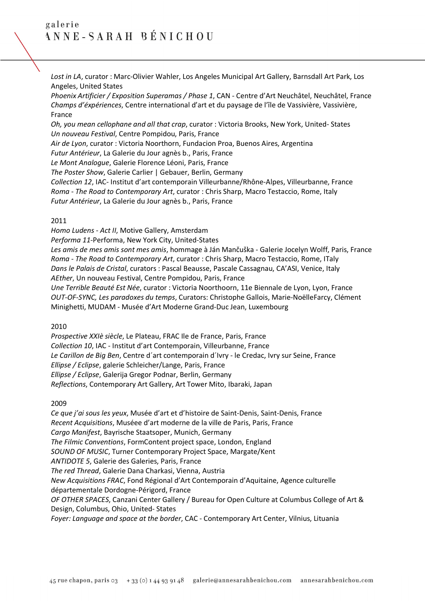*Lost in LA*, curator : Marc-Olivier Wahler, Los Angeles Municipal Art Gallery, Barnsdall Art Park, Los Angeles, United States

*Phoenix Artificier / Exposition Superamas / Phase 1*, CAN - Centre d'Art Neuchâtel, Neuchâtel, France *Champs d'éxpériences*, Centre international d'art et du paysage de l'île de Vassivière, Vassivière, France

*Oh, you mean cellophane and all that crap*, curator : Victoria Brooks, New York, United- States *Un nouveau Festival*, Centre Pompidou, Paris, France

*Air de Lyon*, curator : Victoria Noorthorn, Fundacion Proa, Buenos Aires, Argentina

*Futur Antérieur*, La Galerie du Jour agnès b., Paris, France

*Le Mont Analogue*, Galerie Florence Léoni, Paris, France

*The Poster Show*, Galerie Carlier | Gebauer, Berlin, Germany

*Collection 12*, IAC- Institut d'art contemporain Villeurbanne/Rhône-Alpes, Villeurbanne, France *Roma - The Road to Contemporary Art*, curator : Chris Sharp, Macro Testaccio, Rome, Italy

*Futur Antérieur*, La Galerie du Jour agnès b., Paris, France

#### 2011

*Homo Ludens* - *Act II*, Motive Gallery, Amsterdam

*Performa 11*-Performa, New York City, United-States

*Les amis de mes amis sont mes amis*, hommage à Ján Mančuška - Galerie Jocelyn Wolff, Paris, France *Roma - The Road to Contemporary Art*, curator : Chris Sharp, Macro Testaccio, Rome, ITaly *Dans le Palais de Cristal*, curators : Pascal Beausse, Pascale Cassagnau, CA'ASI, Venice, Italy *AEther*, Un nouveau Festival, Centre Pompidou, Paris, France

*Une Terrible Beauté Est Née*, curator : Victoria Noorthoorn, 11e Biennale de Lyon, Lyon, France *OUT-OF-SYNC, Les paradoxes du temps*, Curators: Christophe Gallois, Marie-NoëlleFarcy, Clément Minighetti, MUDAM - Musée d'Art Moderne Grand-Duc Jean, Luxembourg

### 2010

*Prospective XXIè siècle*, Le Plateau, FRAC Ile de France, Paris, France *Collection 10*, IAC - Institut d'art Contemporain, Villeurbanne, France *Le Carillon de Big Ben*, Centre d´art contemporain d´Ivry - le Credac, Ivry sur Seine, France *Ellipse / Eclipse*, galerie Schleicher/Lange, Paris, France *Ellipse / Eclipse*, Galerija Gregor Podnar, Berlin, Germany *Reflections*, Contemporary Art Gallery, Art Tower Mito, Ibaraki, Japan

### 2009

*Ce que j'ai sous les yeux*, Musée d'art et d'histoire de Saint-Denis, Saint-Denis, France *Recent Acquisitions*, Muséee d'art moderne de la ville de Paris, Paris, France *Cargo Manifest*, Bayrische Staatsoper, Munich, Germany *The Filmic Conventions*, FormContent project space, London, England *SOUND OF MUSIC*, Turner Contemporary Project Space, Margate/Kent *ANTIDOTE 5*, Galerie des Galeries, Paris, France *The red Thread*, Galerie Dana Charkasi, Vienna, Austria *New Acquisitions FRAC*, Fond Régional d'Art Contemporain d'Aquitaine, Agence culturelle départementale Dordogne-Périgord, France *OF OTHER SPACES*, Canzani Center Gallery / Bureau for Open Culture at Columbus College of Art & Design, Columbus, Ohio, United- States *Foyer: Language and space at the border*, CAC - Contemporary Art Center, Vilnius, Lituania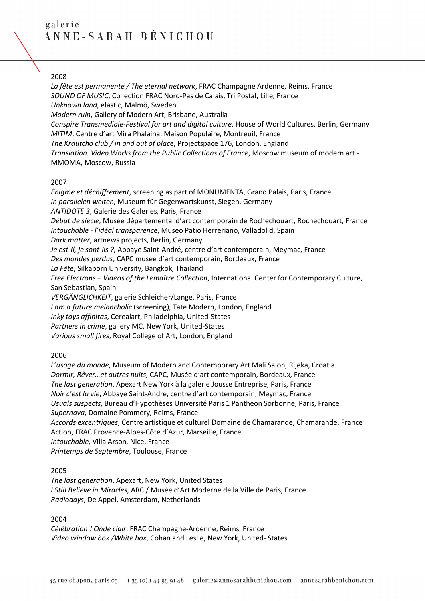### 2008

*La fête est permanente / The eternal network*, FRAC Champagne Ardenne, Reims, France *SOUND OF MUSIC*, Collection FRAC Nord-Pas de Calais, Tri Postal, Lille, France *Unknown land*, elastic, Malmö, Sweden *Modern ruin*, Gallery of Modern Art, Brisbane, Australia *Conspire Transmediale-Festival for art and digital culture*, House of World Cultures, Berlin, Germany *MITIM*, Centre d'art Mira Phalaina, Maison Populaire, Montreuil, France *The Krautcho club / in and out of place*, Projectspace 176, London, England *Translation. Video Works from the Public Collections of France*, Moscow museum of modern art - MMOMA, Moscow, Russia

#### 2007

*Énigme et déchiffrement*, screening as part of MONUMENTA, Grand Palais, Paris, France *In parallelen welten*, Museum für Gegenwartskunst, Siegen, Germany *ANTIDOTE 3*, Galerie des Galeries, Paris, France *Début de siècle*, Musée départemental d'art contemporain de Rochechouart, Rochechouart, France *Intouchable - l'idéal transparence*, Museo Patio Herreriano, Valladolid, Spain *Dark matter*, artnews projects, Berlin, Germany *Je est-il, je sont-ils ?*, Abbaye Saint-André, centre d'art contemporain, Meymac, France *Des mondes perdus*, CAPC musée d'art contemporain, Bordeaux, France *La Fête*, Silkaporn University, Bangkok, Thailand *Free Electrons – Videos of the Lemaître Collection*, International Center for Contemporary Culture, San Sebastian, Spain *VERGÄNGLICHKEIT*, galerie Schleicher/Lange, Paris, France *I am a future melancholic* (screening), Tate Modern, London, England *Inky toys affinitas*, Cerealart, Philadelphia, United-States *Partners in crime*, gallery MC, New York, United-States *Various small fires*, Royal College of Art, London, England

### 2006

*L'usage du monde*, Museum of Modern and Contemporary Art Mali Salon, Rijeka, Croatia *Dormir, Rêver…et autres nuits*, CAPC, Musée d'art contemporain, Bordeaux, France *The last generation*, Apexart New York à la galerie Jousse Entreprise, Paris, France *Noir c'est la vie*, Abbaye Saint-André, centre d'art contemporain, Meymac, France *Usuals suspects*, Bureau d'Hypothèses Université Paris 1 Pantheon Sorbonne, Paris, France *Supernova*, Domaine Pommery, Reims, France *Accords excentriques*, Centre artistique et culturel Domaine de Chamarande, Chamarande, France Action, FRAC Provence-Alpes-Côte d'Azur, Marseille, France *Intouchable*, Villa Arson, Nice, France *Printemps de Septembre*, Toulouse, France

#### 2005

*The last generation*, Apexart, New York, United States *I Still Believe in Miracles*, ARC / Musée d'Art Moderne de la Ville de Paris, France *Radiodays*, De Appel, Amsterdam, Netherlands

#### 2004

*Célébration ! Onde clair*, FRAC Champagne-Ardenne, Reims, France *Video window box /White box*, Cohan and Leslie, New York, United- States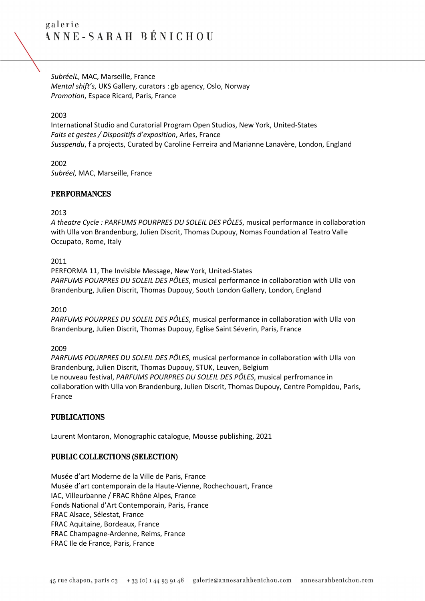*SubréelL*, MAC, Marseille, France *Mental shift's*, UKS Gallery, curators : gb agency, Oslo, Norway *Promotion*, Espace Ricard, Paris, France

2003

International Studio and Curatorial Program Open Studios, New York, United-States *Faits et gestes / Dispositifs d'exposition*, Arles, France *Susspendu*, f a projects, Curated by Caroline Ferreira and Marianne Lanavère, London, England

2002 *Subréel*, MAC, Marseille, France

## PERFORMANCES

#### 2013

*A theatre Cycle : PARFUMS POURPRES DU SOLEIL DES PÔLES*, musical performance in collaboration with Ulla von Brandenburg, Julien Discrit, Thomas Dupouy, Nomas Foundation al Teatro Valle Occupato, Rome, Italy

#### 2011

PERFORMA 11, The Invisible Message, New York, United-States *PARFUMS POURPRES DU SOLEIL DES PÔLES*, musical performance in collaboration with Ulla von Brandenburg, Julien Discrit, Thomas Dupouy, South London Gallery, London, England

2010

*PARFUMS POURPRES DU SOLEIL DES PÔLES*, musical performance in collaboration with Ulla von Brandenburg, Julien Discrit, Thomas Dupouy, Eglise Saint Séverin, Paris, France

#### 2009

*PARFUMS POURPRES DU SOLEIL DES PÔLES*, musical performance in collaboration with Ulla von Brandenburg, Julien Discrit, Thomas Dupouy, STUK, Leuven, Belgium Le nouveau festival, *PARFUMS POURPRES DU SOLEIL DES PÔLES*, musical perfromance in collaboration with Ulla von Brandenburg, Julien Discrit, Thomas Dupouy, Centre Pompidou, Paris, France

## PUBLICATIONS

Laurent Montaron, Monographic catalogue, Mousse publishing, 2021

### PUBLIC COLLECTIONS (SELECTION)

Musée d'art Moderne de la Ville de Paris, France Musée d'art contemporain de la Haute-Vienne, Rochechouart, France IAC, Villeurbanne / FRAC Rhône Alpes, France Fonds National d'Art Contemporain, Paris, France FRAC Alsace, Sélestat, France FRAC Aquitaine, Bordeaux, France FRAC Champagne-Ardenne, Reims, France FRAC Ile de France, Paris, France